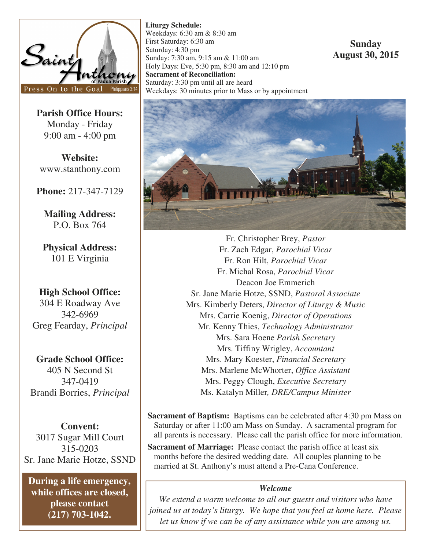

**Parish Office Hours:**  Monday - Friday 9:00 am - 4:00 pm

**Website:**  www.stanthony.com

**Phone:** 217-347-7129

**Mailing Address:**  P.O. Box 764

**Physical Address:**  101 E Virginia

**High School Office:**  304 E Roadway Ave 342-6969 Greg Fearday, *Principal* 

**Grade School Office:**  405 N Second St 347-0419 Brandi Borries, *Principal* 

**Convent:**  3017 Sugar Mill Court 315-0203 Sr. Jane Marie Hotze, SSND

**During a life emergency, while offices are closed, please contact (217) 703-1042.** 

**Liturgy Schedule:**  Weekdays: 6:30 am & 8:30 am First Saturday: 6:30 am Saturday: 4:30 pm Sunday: 7:30 am, 9:15 am & 11:00 am Holy Days: Eve, 5:30 pm, 8:30 am and 12:10 pm **Sacrament of Reconciliation:**  Saturday: 3:30 pm until all are heard Weekdays: 30 minutes prior to Mass or by appointment

# **Sunday August 30, 2015**



Fr. Christopher Brey, *Pastor*  Fr. Zach Edgar, *Parochial Vicar* Fr. Ron Hilt, *Parochial Vicar*  Fr. Michal Rosa, *Parochial Vicar* Deacon Joe Emmerich Sr. Jane Marie Hotze, SSND, *Pastoral Associate*  Mrs. Kimberly Deters, *Director of Liturgy & Music*  Mrs. Carrie Koenig, *Director of Operations*  Mr. Kenny Thies, *Technology Administrator*  Mrs. Sara Hoene *Parish Secretary* Mrs. Tiffiny Wrigley, *Accountant*  Mrs. Mary Koester, *Financial Secretary* Mrs. Marlene McWhorter, *Office Assistant*  Mrs. Peggy Clough, *Executive Secretary*  Ms. Katalyn Miller*, DRE/Campus Minister* 

**Sacrament of Baptism:** Baptisms can be celebrated after 4:30 pm Mass on Saturday or after 11:00 am Mass on Sunday. A sacramental program for all parents is necessary. Please call the parish office for more information.

**Sacrament of Marriage:** Please contact the parish office at least six months before the desired wedding date. All couples planning to be married at St. Anthony's must attend a Pre-Cana Conference.

## *Welcome*

*We extend a warm welcome to all our guests and visitors who have joined us at today's liturgy. We hope that you feel at home here. Please let us know if we can be of any assistance while you are among us.*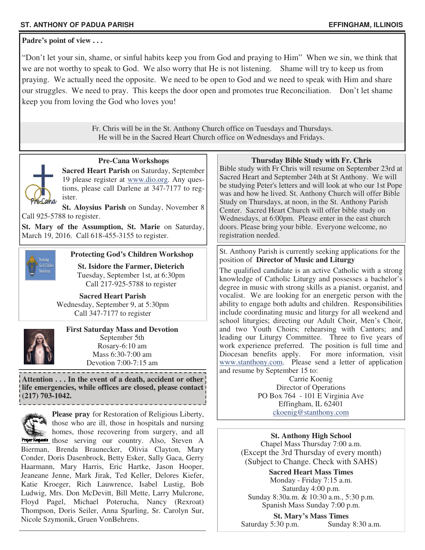## **ST. ANTHONY OF PADUA PARISH EFFINGHAM, ILLINOIS**

**Padre's point of view . . .** 

"Don't let your sin, shame, or sinful habits keep you from God and praying to Him" When we sin, we think that we are not worthy to speak to God. We also worry that He is not listening. Shame will try to keep us from praying. We actually need the opposite. We need to be open to God and we need to speak with Him and share our struggles. We need to pray. This keeps the door open and promotes true Reconciliation. Don't let shame keep you from loving the God who loves you!

> Fr. Chris will be in the St. Anthony Church office on Tuesdays and Thursdays. He will be in the Sacred Heart Church office on Wednesdays and Fridays.



 **Pre-Cana Workshops** 

**Sacred Heart Parish** on Saturday, September 19 please register at www.dio.org. Any questions, please call Darlene at 347-7177 to register.

**St. Aloysius Parish** on Sunday, November 8 Call 925-5788 to register.

St. Mary of the Assumption, St. Marie on Saturday, March 19, 2016. Call 618-455-3155 to register.



## **Protecting God's Children Workshop**

**St. Isidore the Farmer, Dieterich**  Tuesday, September 1st, at 6:30pm Call 217-925-5788 to register

**Sacred Heart Parish**  Wednesday, September 9, at 5:30pm Call 347-7177 to register



**First Saturday Mass and Devotion**  September 5th Rosary-6:10 am Mass 6:30-7:00 am Devotion 7:00-7:15 am

**Attention . . . In the event of a death, accident or other life emergencies, while offices are closed, please contact (217) 703-1042.** 



**Please pray** for Restoration of Religious Liberty, those who are ill, those in hospitals and nursing homes, those recovering from surgery, and all

Prayer Requests those serving our country. Also, Steven A Bierman, Brenda Braunecker, Olivia Clayton, Mary Conder, Doris Dasenbrock, Betty Esker, Sally Gaca, Gerry Haarmann, Mary Harris, Eric Hartke, Jason Hooper, Jeaneane Jenne, Mark Jirak, Ted Keller, Delores Kiefer, Katie Kroeger, Rich Lauwrence, Isabel Lustig, Bob Ludwig, Mrs. Don McDevitt, Bill Mette, Larry Mulcrone, Floyd Pagel, Michael Poterucha, Nancy (Rexroat) Thompson, Doris Seiler, Anna Sparling, Sr. Carolyn Sur, Nicole Szymonik, Gruen VonBehrens.

### **Thursday Bible Study with Fr. Chris**

Bible study with Fr Chris will resume on September 23rd at Sacred Heart and September 24th at St Anthony. We will be studying Peter's letters and will look at who our 1st Pope was and how he lived. St. Anthony Church will offer Bible Study on Thursdays, at noon, in the St. Anthony Parish Center. Sacred Heart Church will offer bible study on Wednesdays, at 6:00pm. Please enter in the east church doors. Please bring your bible. Everyone welcome, no registration needed.

### St. Anthony Parish is currently seeking applications for the position of **Director of Music and Liturgy**

The qualified candidate is an active Catholic with a strong knowledge of Catholic Liturgy and possesses a bachelor's degree in music with strong skills as a pianist, organist, and vocalist. We are looking for an energetic person with the ability to engage both adults and children. Responsibilities include coordinating music and liturgy for all weekend and school liturgies; directing our Adult Choir, Men's Choir, and two Youth Choirs; rehearsing with Cantors; and leading our Liturgy Committee. Three to five years of work experience preferred. The position is full time and Diocesan benefits apply. For more information, visit www.stanthony.com. Please send a letter of application and resume by September 15 to:

Carrie Koenig Director of Operations PO Box 764 - 101 E Virginia Ave Effingham, IL 62401 ckoenig@stanthony.com

**St. Anthony High School**  Chapel Mass Thursday 7:00 a.m. (Except the 3rd Thursday of every month) (Subject to Change. Check with SAHS)

**Sacred Heart Mass Times**  Monday - Friday 7:15 a.m. Saturday 4:00 p.m. Sunday 8:30a.m. & 10:30 a.m., 5:30 p.m. Spanish Mass Sunday 7:00 p.m.

**St. Mary's Mass Times**  Saturday 5:30 p.m. Sunday 8:30 a.m.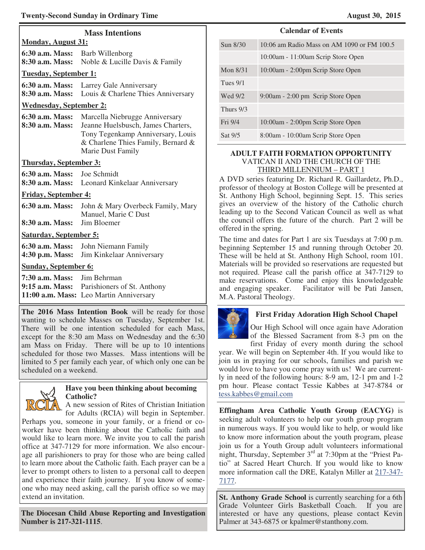| <b>Mass Intentions</b><br><b>Monday, August 31:</b> |                                                                                                                                                                             |  |  |  |  |
|-----------------------------------------------------|-----------------------------------------------------------------------------------------------------------------------------------------------------------------------------|--|--|--|--|
| 6:30 a.m. Mass: Barb Willenborg<br>8:30 a.m. Mass:  | Noble & Lucille Davis & Family                                                                                                                                              |  |  |  |  |
|                                                     | <b>Tuesday, September 1:</b>                                                                                                                                                |  |  |  |  |
| 6:30 a.m. Mass:<br>8:30 a.m. Mass:                  | Larrey Gale Anniversary<br>Louis & Charlene Thies Anniversary                                                                                                               |  |  |  |  |
| <b>Wednesday, September 2:</b>                      |                                                                                                                                                                             |  |  |  |  |
| 6:30 a.m. Mass:<br>8:30 a.m. Mass:                  | Marcella Niebrugge Anniversary<br>Jeanne Huelsbusch, James Charters,<br>Tony Tegenkamp Anniversary, Louis<br>& Charlene Thies Family, Bernard &<br><b>Marie Dust Family</b> |  |  |  |  |
| <b>Thursday, September 3:</b>                       |                                                                                                                                                                             |  |  |  |  |
| 6:30 a.m. Mass:                                     | <b>Joe Schmidt</b><br>8:30 a.m. Mass: Leonard Kinkelaar Anniversary                                                                                                         |  |  |  |  |
| <b>Friday, September 4:</b>                         |                                                                                                                                                                             |  |  |  |  |
| 6:30 a.m. Mass:                                     | John & Mary Overbeck Family, Mary<br>Manuel, Marie C Dust                                                                                                                   |  |  |  |  |
| 8:30 a.m. Mass:                                     | Jim Bloemer                                                                                                                                                                 |  |  |  |  |
| <b>Saturday, September 5:</b>                       |                                                                                                                                                                             |  |  |  |  |
| 6:30 a.m. Mass:<br>4:30 p.m. Mass:                  | John Niemann Family<br>Jim Kinkelaar Anniversary                                                                                                                            |  |  |  |  |
| <b>Sunday, September 6:</b>                         |                                                                                                                                                                             |  |  |  |  |
| 7:30 a.m. Mass:                                     | Jim Behrman<br>9:15 a.m. Mass: Parishioners of St. Anthony<br>11:00 a.m. Mass: Leo Martin Anniversary                                                                       |  |  |  |  |

**The 2016 Mass Intention Book** will be ready for those wanting to schedule Masses on Tuesday, September 1st. There will be one intention scheduled for each Mass, except for the 8:30 am Mass on Wednesday and the 6:30 am Mass on Friday. There will be up to 10 intentions scheduled for those two Masses. Mass intentions will be limited to 5 per family each year, of which only one can be scheduled on a weekend.



extend an invitation.

### **Have you been thinking about becoming Catholic?**

A new session of Rites of Christian Initiation for Adults (RCIA) will begin in September. Perhaps you, someone in your family, or a friend or coworker have been thinking about the Catholic faith and would like to learn more. We invite you to call the parish office at 347-7129 for more information. We also encourage all parishioners to pray for those who are being called to learn more about the Catholic faith. Each prayer can be a lever to prompt others to listen to a personal call to deepen and experience their faith journey. If you know of someone who may need asking, call the parish office so we may

**The Diocesan Child Abuse Reporting and Investigation Number is 217-321-1115**.

## **Calendar of Events**

| Sun 8/30   | 10:06 am Radio Mass on AM 1090 or FM 100.5 |
|------------|--------------------------------------------|
|            | 10:00am - 11:00am Scrip Store Open         |
| Mon $8/31$ | 10:00am - 2:00pm Scrip Store Open          |
| Tues $9/1$ |                                            |
| Wed 9/2    | 9:00am - 2:00 pm Scrip Store Open          |
| Thurs 9/3  |                                            |
| Fri 9/4    | 10:00am - 2:00pm Scrip Store Open          |
| Sat 9/5    | 8:00am - 10:00am Scrip Store Open          |

## **ADULT FAITH FORMATION OPPORTUNITY**  VATICAN II AND THE CHURCH OF THE THIRD MILLENNIUM – PART 1

A DVD series featuring Dr. Richard R. Gaillardetz, Ph.D., professor of theology at Boston College will be presented at St. Anthony High School, beginning Sept. 15. This series gives an overview of the history of the Catholic church leading up to the Second Vatican Council as well as what the council offers the future of the church. Part 2 will be offered in the spring.

The time and dates for Part 1 are six Tuesdays at 7:00 p.m. beginning September 15 and running through October 20. These will be held at St. Anthony High School, room 101. Materials will be provided so reservations are requested but not required. Please call the parish office at 347-7129 to make reservations. Come and enjoy this knowledgeable and engaging speaker. Facilitator will be Pati Jansen, M.A. Pastoral Theology.



## **First Friday Adoration High School Chapel**

Our High School will once again have Adoration of the Blessed Sacrament from 8-3 pm on the

first Friday of every month during the school year. We will begin on September 4th. If you would like to join us in praying for our schools, families and parish we would love to have you come pray with us! We are currently in need of the following hours: 8-9 am, 12-1 pm and 1-2 pm hour. Please contact Tessie Kabbes at 347-8784 or tess.kabbes@gmail.com

**Effingham Area Catholic Youth Group (EACYG)** is seeking adult volunteers to help our youth group program in numerous ways. If you would like to help, or would like to know more information about the youth program, please join us for a Youth Group adult volunteers informational night, Thursday, September  $3<sup>rd</sup>$  at 7:30pm at the "Priest Patio" at Sacred Heart Church. If you would like to know more information call the DRE, Katalyn Miller at 217-347- 7177.

**St. Anthony Grade School** is currently searching for a 6th Grade Volunteer Girls Basketball Coach. If you are interested or have any questions, please contact Kevin Palmer at 343-6875 or kpalmer@stanthony.com.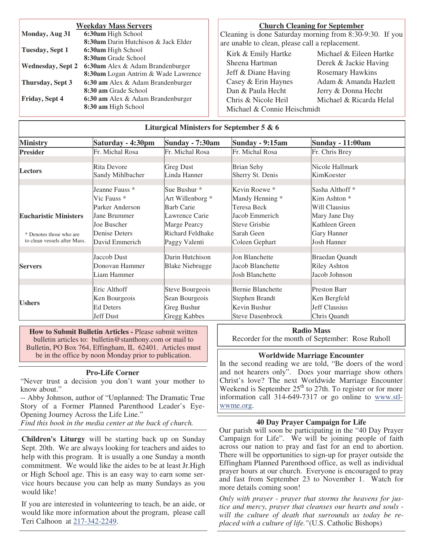| <b>Weekday Mass Servers</b> |                                            |  |  |  |
|-----------------------------|--------------------------------------------|--|--|--|
| Monday, Aug 31              | 6:30am High School                         |  |  |  |
|                             | <b>8:30am</b> Darin Hutchison & Jack Elder |  |  |  |
| Tuesday, Sept 1             | 6:30am High School                         |  |  |  |
|                             | 8:30am Grade School                        |  |  |  |
| <b>Wednesday, Sept 2</b>    | <b>6:30am</b> Alex & Adam Brandenburger    |  |  |  |
|                             | <b>8:30am</b> Logan Antrim & Wade Lawrence |  |  |  |
| Thursday, Sept 3            | 6:30 am Alex & Adam Brandenburger          |  |  |  |
|                             | 8:30 am Grade School                       |  |  |  |
| Friday, Sept 4              | 6:30 am Alex & Adam Brandenburger          |  |  |  |
|                             | 8:30 am High School                        |  |  |  |

#### **Church Cleaning for September**

Cleaning is done Saturday morning from 8:30-9:30. If you are unable to clean, please call a replacement.

Kirk & Emily Hartke Michael & Eileen Hartke Sheena Hartman Derek & Jackie Having Jeff & Diane Having Rosemary Hawkins Casey & Erin Haynes Adam & Amanda Hazlett Dan & Paula Hecht Jerry & Donna Hecht Chris & Nicole Heil Michael & Ricarda Helal Michael & Connie Heischmidt

| Liturgical Ministers for September 5 & 6 |  |  |
|------------------------------------------|--|--|
|                                          |  |  |

| <b>Ministry</b>              | Saturday - 4:30pm         | <b>Sunday - 7:30am</b> | Sunday - 9:15am        | <b>Sunday - 11:00am</b>         |
|------------------------------|---------------------------|------------------------|------------------------|---------------------------------|
| <b>Presider</b>              | Fr. Michal Rosa           | Fr. Michal Rosa        | Fr. Michal Rosa        | Fr. Chris Brey                  |
|                              |                           |                        |                        |                                 |
| <b>Lectors</b>               | Rita Devore               | <b>Greg Dust</b>       | <b>Brian Sehy</b>      | Nicole Hallmark                 |
|                              | Sandy Mihlbacher          | Linda Hanner           | Sherry St. Denis       | KimKoester                      |
|                              | Jeanne Fauss <sup>*</sup> | Sue Bushur *           | Kevin Roewe *          | Sasha Althoff <sup>*</sup>      |
|                              | Vic Fauss *               | Art Willenborg *       | Mandy Henning *        | Kim Ashton *                    |
|                              | Parker Anderson           | <b>Barb Carie</b>      | Teresa Beck            | Will Clausius                   |
| <b>Eucharistic Ministers</b> | Jane Brummer              | Lawrence Carie         | Jacob Emmerich         |                                 |
|                              | Joe Buscher               |                        |                        | Mary Jane Day<br>Kathleen Green |
|                              |                           | Marge Pearcy           | <b>Steve Grisbie</b>   |                                 |
| * Denotes those who are      | <b>Denise Deters</b>      | Richard Feldhake       | Sarah Geen             | Gary Hanner                     |
| to clean vessels after Mass. | David Emmerich            | Paggy Valenti          | Coleen Gephart         | <b>Josh Hanner</b>              |
|                              | Jaccob Dust               | Darin Hutchison        | Jon Blanchette         |                                 |
|                              |                           |                        |                        | <b>Braedan Quandt</b>           |
| <b>Servers</b>               | Donovan Hammer            | <b>Blake Niebrugge</b> | Jacob Blanchette       | <b>Riley Ashton</b>             |
|                              | Liam Hammer               |                        | <b>Josh Blanchette</b> | Jacob Johnson                   |
|                              |                           |                        |                        |                                 |
|                              | Eric Althoff              | Steve Bourgeois        | Bernie Blanchette      | <b>Preston Barr</b>             |
|                              | Ken Bourgeois             | Sean Bourgeois         | Stephen Brandt         | Ken Bergfeld                    |
| <b>Ushers</b>                | <b>Ed Deters</b>          | Greg Bushur            | Kevin Bushur           | Jeff Clausius                   |
|                              | Jeff Dust                 | Gregg Kabbes           | Steve Dasenbrock       | Chris Quandt                    |

**How to Submit Bulletin Articles -** Please submit written bulletin articles to: bulletin@stanthony.com or mail to Bulletin, PO Box 764, Effingham, IL 62401. Articles must be in the office by noon Monday prior to publication.

#### **Pro-Life Corner**

"Never trust a decision you don't want your mother to know about."

-- Abby Johnson, author of "Unplanned: The Dramatic True Story of a Former Planned Parenthood Leader's Eye-Opening Journey Across the Life Line."

*Find this book in the media center at the back of church.* 

**Children's Liturgy** will be starting back up on Sunday Sept. 20th. We are always looking for teachers and aides to help with this program. It is usually a one Sunday a month commitment. We would like the aides to be at least Jr.High or High School age. This is an easy way to earn some service hours because you can help as many Sundays as you would like!

If you are interested in volunteering to teach, be an aide, or would like more information about the program, please call Teri Calhoon at 217-342-2249.

**Radio Mass**  Recorder for the month of September: Rose Ruholl

#### **Worldwide Marriage Encounter**

In the second reading we are told, "Be doers of the word and not hearers only". Does your marriage show others Christ's love? The next Worldwide Marriage Encounter Weekend is September  $25<sup>th</sup>$  to 27th. To register or for more information call 314-649-7317 or go online to www.stlwwme.org.

#### **40 Day Prayer Campaign for Life**

Our parish will soon be participating in the "40 Day Prayer Campaign for Life". We will be joining people of faith across our nation to pray and fast for an end to abortion. There will be opportunities to sign-up for prayer outside the Effingham Planned Parenthood office, as well as individual prayer hours at our church. Everyone is encouraged to pray and fast from September 23 to November 1. Watch for more details coming soon!

*Only with prayer - prayer that storms the heavens for justice and mercy, prayer that cleanses our hearts and souls will the culture of death that surrounds us today be replaced with a culture of life."* (U.S. Catholic Bishops)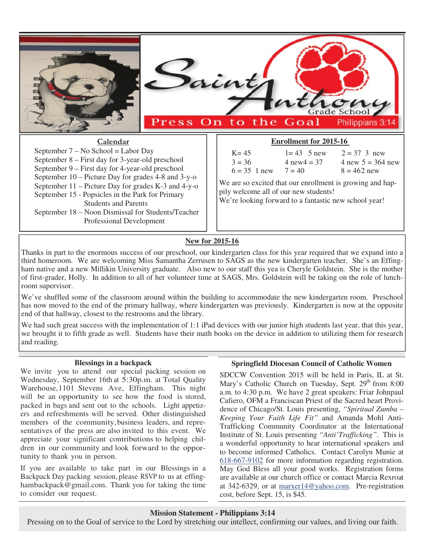

## **New for 2015-16**

Thanks in part to the enormous success of our preschool, our kindergarten class for this year required that we expand into a third homeroom. We are welcoming Miss Samantha Zerrusen to SAGS as the new kindergarten teacher. She's an Effingham native and a new Millikin University graduate. Also new to our staff this yea is Cheryle Goldstein. She is the mother of first-grader, Holly. In addition to all of her volunteer time at SAGS, Mrs. Goldstein will be taking on the role of lunchroom supervisor.

We've shuffled some of the classroom around within the building to accommodate the new kindergarten room. Preschool has now moved to the end of the primary hallway, where kindergarten was previously. Kindergarten is now at the opposite end of that hallway, closest to the restrooms and the library.

We had such great success with the implementation of 1:1 iPad devices with our junior high students last year, that this year, we brought it to fifth grade as well. Students have their math books on the device in addition to utilizing them for research and reading.

### **Blessings in a backpack**

We invite you to attend our special packing session on Wednesday, September 16th at 5:30p.m. at Total Quality Warehouse,1101 Stevens Ave, Effingham. This night will be an opportunity to see how the food is stored, packed in bags and sent out to the schools. Light appetizers and refreshments will be served. Other distinguished members of the community, business leaders, and representatives of the press are also invited to this event. We appreciate your significant contributions to helping children in our community and look forward to the opportunity to thank you in person.

If you are available to take part in our Blessings in a Backpack Day packing session, please RSVP to us at effinghambackpack@gmail.com. Thank you for taking the time to consider our request.

#### **Springfield Diocesan Council of Catholic Women**

SDCCW Convention 2015 will be held in Paris, IL at St. Mary's Catholic Church on Tuesday, Sept.  $29<sup>th</sup>$  from 8:00 a.m. to 4:30 p.m. We have 2 great speakers: Friar Johnpaul Cafiero, OFM a Franciscan Priest of the Sacred heart Providence of Chicago/St. Louis presenting, *"Spiritual Zumba – Keeping Your Faith Life Fit"* and Amanda Mohl Anti-Trafficking Community Coordinator at the International Institute of St. Louis presenting *"Anti'Trafficking"*. This is a wonderful opportunity to hear international speakers and to become informed Catholics. Contact Carolyn Munie at 618-667-9102 for more information regarding registration. May God Bless all your good works. Registration forms are available at our church office or contact Marcia Rexroat at 342-6329, or at marxer14@yahoo.com. Pre-registration cost, before Sept. 15, is \$45.

#### **Mission Statement - Philippians 3:14**

Pressing on to the Goal of service to the Lord by stretching our intellect, confirming our values, and living our faith.